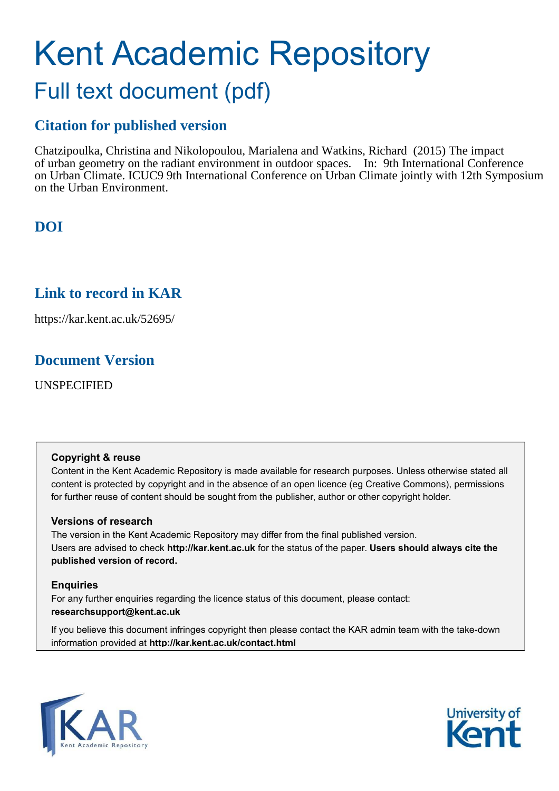# Kent Academic Repository Full text document (pdf)

# **Citation for published version**

Chatzipoulka, Christina and Nikolopoulou, Marialena and Watkins, Richard (2015) The impact of urban geometry on the radiant environment in outdoor spaces. In: 9th International Conference on Urban Climate. ICUC9 9th International Conference on Urban Climate jointly with 12th Symposium on the Urban Environment.

# **DOI**

# **Link to record in KAR**

https://kar.kent.ac.uk/52695/

# **Document Version**

UNSPECIFIED

### **Copyright & reuse**

Content in the Kent Academic Repository is made available for research purposes. Unless otherwise stated all content is protected by copyright and in the absence of an open licence (eg Creative Commons), permissions for further reuse of content should be sought from the publisher, author or other copyright holder.

## **Versions of research**

The version in the Kent Academic Repository may differ from the final published version. Users are advised to check **http://kar.kent.ac.uk** for the status of the paper. **Users should always cite the published version of record.**

## **Enquiries**

For any further enquiries regarding the licence status of this document, please contact: **researchsupport@kent.ac.uk**

If you believe this document infringes copyright then please contact the KAR admin team with the take-down information provided at **http://kar.kent.ac.uk/contact.html**



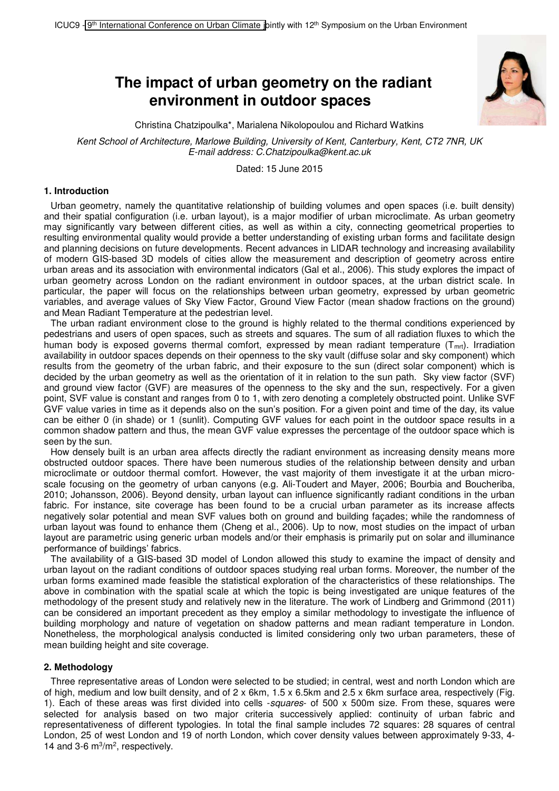## **The impact of urban geometry on the radiant environment in outdoor spaces**



Christina Chatzipoulka\*, Marialena Nikolopoulou and Richard Watkins

*Kent School of Architecture, Marlowe Building, University of Kent, Canterbury, Kent, CT2 7NR, UK E-mail address: C.Chatzipoulka@kent.ac.uk* 

Dated: 15 June 2015

#### **1. Introduction**

Urban geometry, namely the quantitative relationship of building volumes and open spaces (i.e. built density) and their spatial configuration (i.e. urban layout), is a major modifier of urban microclimate. As urban geometry may significantly vary between different cities, as well as within a city, connecting geometrical properties to resulting environmental quality would provide a better understanding of existing urban forms and facilitate design and planning decisions on future developments. Recent advances in LIDAR technology and increasing availability of modern GIS-based 3D models of cities allow the measurement and description of geometry across entire urban areas and its association with environmental indicators (Gal et al., 2006). This study explores the impact of urban geometry across London on the radiant environment in outdoor spaces, at the urban district scale. In particular, the paper will focus on the relationships between urban geometry, expressed by urban geometric variables, and average values of Sky View Factor, Ground View Factor (mean shadow fractions on the ground) and Mean Radiant Temperature at the pedestrian level.

The urban radiant environment close to the ground is highly related to the thermal conditions experienced by pedestrians and users of open spaces, such as streets and squares. The sum of all radiation fluxes to which the human body is exposed governs thermal comfort, expressed by mean radiant temperature ( $T<sub>mt</sub>$ ). Irradiation availability in outdoor spaces depends on their openness to the sky vault (diffuse solar and sky component) which results from the geometry of the urban fabric, and their exposure to the sun (direct solar component) which is decided by the urban geometry as well as the orientation of it in relation to the sun path. Sky view factor (SVF) and ground view factor (GVF) are measures of the openness to the sky and the sun, respectively. For a given point, SVF value is constant and ranges from 0 to 1, with zero denoting a completely obstructed point. Unlike SVF GVF value varies in time as it depends also on the sun's position. For a given point and time of the day, its value can be either 0 (in shade) or 1 (sunlit). Computing GVF values for each point in the outdoor space results in a common shadow pattern and thus, the mean GVF value expresses the percentage of the outdoor space which is seen by the sun.

How densely built is an urban area affects directly the radiant environment as increasing density means more obstructed outdoor spaces. There have been numerous studies of the relationship between density and urban microclimate or outdoor thermal comfort. However, the vast majority of them investigate it at the urban microscale focusing on the geometry of urban canyons (e.g. Ali-Toudert and Mayer, 2006; Bourbia and Boucheriba, 2010; Johansson, 2006). Beyond density, urban layout can influence significantly radiant conditions in the urban fabric. For instance, site coverage has been found to be a crucial urban parameter as its increase affects negatively solar potential and mean SVF values both on ground and building façades; while the randomness of urban layout was found to enhance them (Cheng et al., 2006). Up to now, most studies on the impact of urban layout are parametric using generic urban models and/or their emphasis is primarily put on solar and illuminance performance of buildings' fabrics.

The availability of a GIS-based 3D model of London allowed this study to examine the impact of density and urban layout on the radiant conditions of outdoor spaces studying real urban forms. Moreover, the number of the urban forms examined made feasible the statistical exploration of the characteristics of these relationships. The above in combination with the spatial scale at which the topic is being investigated are unique features of the methodology of the present study and relatively new in the literature. The work of Lindberg and Grimmond (2011) can be considered an important precedent as they employ a similar methodology to investigate the influence of building morphology and nature of vegetation on shadow patterns and mean radiant temperature in London. Nonetheless, the morphological analysis conducted is limited considering only two urban parameters, these of mean building height and site coverage.

#### **2. Methodology**

Three representative areas of London were selected to be studied; in central, west and north London which are of high, medium and low built density, and of  $2 \times 6$  km,  $1.5 \times 6.5$  km and  $2.5 \times 6$  km surface area, respectively (Fig. 1). Each of these areas was first divided into cells -*squares*- of 500 x 500m size. From these, squares were selected for analysis based on two major criteria successively applied: continuity of urban fabric and representativeness of different typologies. In total the final sample includes 72 squares: 28 squares of central London, 25 of west London and 19 of north London, which cover density values between approximately 9-33, 4- 14 and 3-6 m<sup>3</sup>/m<sup>2</sup>, respectively.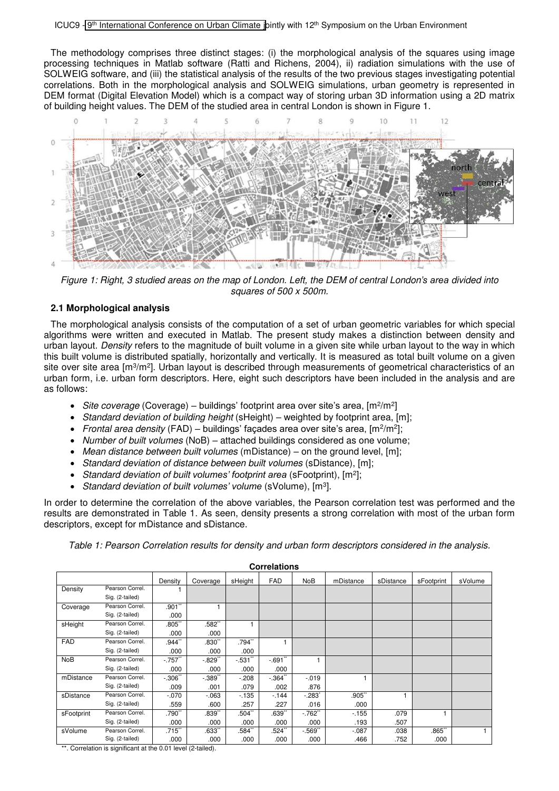The methodology comprises three distinct stages: (i) the morphological analysis of the squares using image processing techniques in Matlab software (Ratti and Richens, 2004), ii) radiation simulations with the use of SOLWEIG software, and (iii) the statistical analysis of the results of the two previous stages investigating potential correlations. Both in the morphological analysis and SOLWEIG simulations, urban geometry is represented in DEM format (Digital Elevation Model) which is a compact way of storing urban 3D information using a 2D matrix of building height values*.* The DEM of the studied area in central London is shown in Figure 1.



*Figure 1: Right, 3 studied areas on the map of London. Left, the DEM of central London's area divided into squares of 500 x 500m.* 

#### **2.1 Morphological analysis**

The morphological analysis consists of the computation of a set of urban geometric variables for which special algorithms were written and executed in Matlab. The present study makes a distinction between density and urban layout. *Density* refers to the magnitude of built volume in a given site while urban layout to the way in which this built volume is distributed spatially, horizontally and vertically. It is measured as total built volume on a given site over site area [m<sup>3</sup>/m<sup>2</sup>]. Urban layout is described through measurements of geometrical characteristics of an urban form, i.e. urban form descriptors. Here, eight such descriptors have been included in the analysis and are as follows:

- Site coverage (Coverage) buildings' footprint area over site's area, [m<sup>2</sup>/m<sup>2</sup>]
- *Standard deviation of building height* (sHeight) weighted by footprint area, [m];
- Frontal area density (FAD) buildings' façades area over site's area, [m<sup>2</sup>/m<sup>2</sup>];
- *Number of built volumes* (NoB) attached buildings considered as one volume;
- *Mean distance between built volumes* (mDistance) on the ground level, [m];
- *Standard deviation of distance between built volumes* (sDistance), [m];
- *Standard deviation of built volumes' footprint area* (sFootprint), [m<sup>2</sup> ];
- *Standard deviation of built volumes' volume* (sVolume), [m<sup>3</sup> ].

In order to determine the correlation of the above variables, the Pearson correlation test was performed and the results are demonstrated in Table 1. As seen, density presents a strong correlation with most of the urban form descriptors, except for mDistance and sDistance.

*Table 1: Pearson Correlation results for density and urban form descriptors considered in the analysis.* 

| <b>Correlations</b> |                 |          |          |          |            |            |           |           |            |         |
|---------------------|-----------------|----------|----------|----------|------------|------------|-----------|-----------|------------|---------|
|                     |                 | Density  | Coverage | sHeight  | <b>FAD</b> | <b>NoB</b> | mDistance | sDistance | sFootprint | sVolume |
| Density             | Pearson Correl. |          |          |          |            |            |           |           |            |         |
|                     | Sig. (2-tailed) |          |          |          |            |            |           |           |            |         |
| Coverage            | Pearson Correl. | $.901$ " |          |          |            |            |           |           |            |         |
|                     | Sig. (2-tailed) | .000     |          |          |            |            |           |           |            |         |
| sHeight             | Pearson Correl. | .805"    | .582**   |          |            |            |           |           |            |         |
|                     | Sig. (2-tailed) | .000     | .000     |          |            |            |           |           |            |         |
| <b>FAD</b>          | Pearson Correl. | .944"    | $.830$ " | $.794$ " |            |            |           |           |            |         |
|                     | Sig. (2-tailed) | .000     | .000     | .000     |            |            |           |           |            |         |
| <b>NoB</b>          | Pearson Correl. | $-757"$  | $-0.829$ | $-531$   | $-691"$    |            |           |           |            |         |
|                     | Sig. (2-tailed) | .000     | .000     | .000     | .000       |            |           |           |            |         |
| mDistance           | Pearson Correl. | $-306"$  | $-.389"$ | $-208$   | $-364$     | $-019$     |           |           |            |         |
|                     | Sig. (2-tailed) | .009     | .001     | .079     | .002       | .876       |           |           |            |         |
| sDistance           | Pearson Correl. | $-.070$  | $-063$   | $-135$   | $-144$     | $-.283"$   | .905"     |           |            |         |
|                     | Sig. (2-tailed) | .559     | .600     | .257     | .227       | .016       | .000      |           |            |         |
| sFootprint          | Pearson Correl. | .790"    | .839''   | $.504$ " | .639''     | $-762$     | $-155$    | .079      |            |         |
|                     | Sig. (2-tailed) | .000     | .000     | .000     | .000       | .000       | .193      | .507      |            |         |
| sVolume             | Pearson Correl. | $.715$ " | .633"    | .584``   | .524       | $-569"$    | $-0.087$  | .038      | .865       |         |
|                     | Sig. (2-tailed) | .000     | .000     | .000     | .000       | .000       | .466      | .752      | .000       |         |

\*\*. Correlation is significant at the 0.01 level (2-tailed).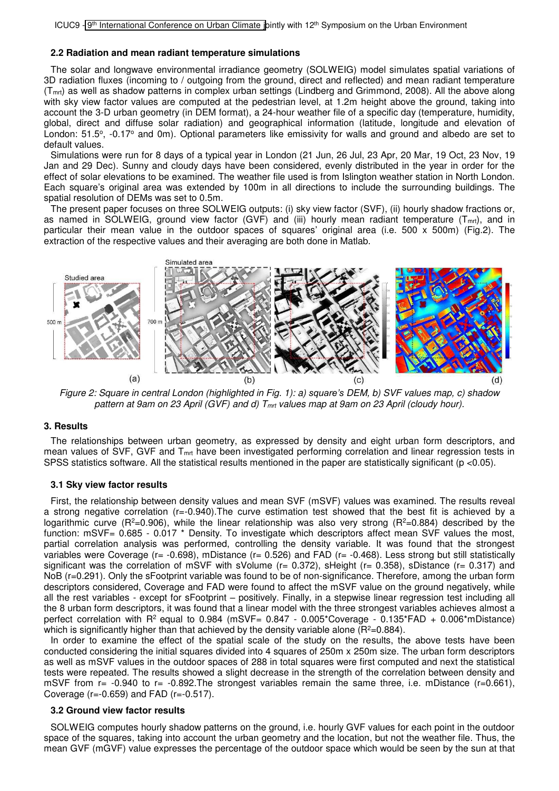#### **2.2 Radiation and mean radiant temperature simulations**

The solar and longwave environmental irradiance geometry (SOLWEIG) model simulates spatial variations of 3D radiation fluxes (incoming to / outgoing from the ground, direct and reflected) and mean radiant temperature (Tmrt) as well as shadow patterns in complex urban settings (Lindberg and Grimmond, 2008). All the above along with sky view factor values are computed at the pedestrian level, at 1.2m height above the ground, taking into account the 3-D urban geometry (in DEM format), a 24-hour weather file of a specific day (temperature, humidity, global, direct and diffuse solar radiation) and geographical information (latitude, longitude and elevation of London: 51.5°, -0.17° and 0m). Optional parameters like emissivity for walls and ground and albedo are set to default values.

Simulations were run for 8 days of a typical year in London (21 Jun, 26 Jul, 23 Apr, 20 Mar, 19 Oct, 23 Nov, 19 Jan and 29 Dec). Sunny and cloudy days have been considered, evenly distributed in the year in order for the effect of solar elevations to be examined. The weather file used is from Islington weather station in North London. Each square's original area was extended by 100m in all directions to include the surrounding buildings. The spatial resolution of DEMs was set to 0.5m.

The present paper focuses on three SOLWEIG outputs: (i) sky view factor (SVF), (ii) hourly shadow fractions or, as named in SOLWEIG, ground view factor (GVF) and (iii) hourly mean radiant temperature  $(T_{mrt})$ , and in particular their mean value in the outdoor spaces of squares' original area (i.e. 500 x 500m) (Fig.2). The extraction of the respective values and their averaging are both done in Matlab.



*Figure 2: Square in central London (highlighted in Fig. 1): a) square's DEM, b) SVF values map, c) shadow pattern at 9am on 23 April (GVF) and d) Tmrt values map at 9am on 23 April (cloudy hour).* 

#### **3. Results**

The relationships between urban geometry, as expressed by density and eight urban form descriptors, and mean values of SVF, GVF and T<sub>mt</sub> have been investigated performing correlation and linear regression tests in SPSS statistics software. All the statistical results mentioned in the paper are statistically significant (p <0.05).

#### **3.1 Sky view factor results**

First, the relationship between density values and mean SVF (mSVF) values was examined. The results reveal a strong negative correlation (r=-0.940).The curve estimation test showed that the best fit is achieved by a logarithmic curve ( $R^2=0.906$ ), while the linear relationship was also very strong ( $R^2=0.884$ ) described by the function: mSVF= 0.685 - 0.017 \* Density. To investigate which descriptors affect mean SVF values the most, partial correlation analysis was performed, controlling the density variable. It was found that the strongest variables were Coverage (r= -0.698), mDistance (r= 0.526) and FAD (r= -0.468). Less strong but still statistically significant was the correlation of mSVF with sVolume ( $r= 0.372$ ), sHeight ( $r= 0.358$ ), sDistance ( $r= 0.317$ ) and NoB (r=0.291). Only the sFootprint variable was found to be of non-significance. Therefore, among the urban form descriptors considered, Coverage and FAD were found to affect the mSVF value on the ground negatively, while all the rest variables - except for sFootprint – positively. Finally, in a stepwise linear regression test including all the 8 urban form descriptors, it was found that a linear model with the three strongest variables achieves almost a perfect correlation with  $R^2$  equal to 0.984 (mSVF= 0.847 - 0.005\*Coverage - 0.135\*FAD + 0.006\*mDistance) which is significantly higher than that achieved by the density variable alone  $(R^2=0.884)$ .

In order to examine the effect of the spatial scale of the study on the results, the above tests have been conducted considering the initial squares divided into 4 squares of 250m x 250m size. The urban form descriptors as well as mSVF values in the outdoor spaces of 288 in total squares were first computed and next the statistical tests were repeated. The results showed a slight decrease in the strength of the correlation between density and mSVF from  $r= -0.940$  to  $r= -0.892$ . The strongest variables remain the same three, i.e. mDistance ( $r=0.661$ ), Coverage (r=-0.659) and FAD (r=-0.517).

#### **3.2 Ground view factor results**

SOLWEIG computes hourly shadow patterns on the ground, i.e. hourly GVF values for each point in the outdoor space of the squares, taking into account the urban geometry and the location, but not the weather file. Thus, the mean GVF (mGVF) value expresses the percentage of the outdoor space which would be seen by the sun at that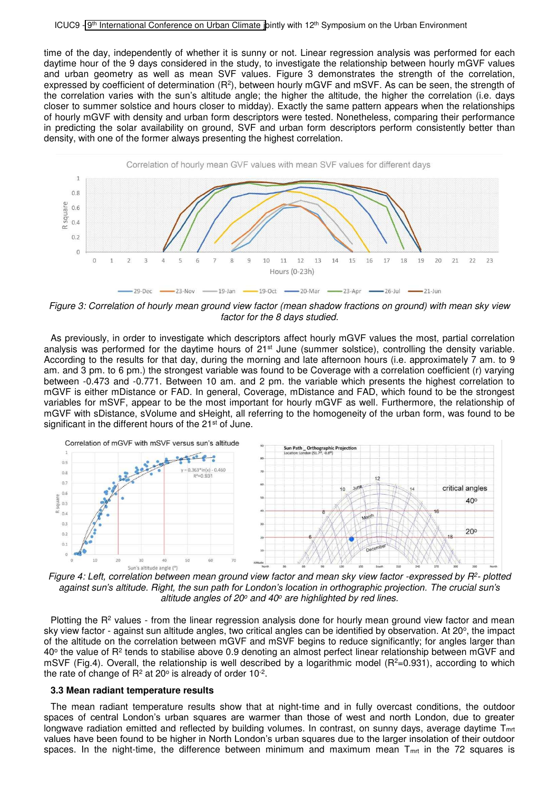time of the day, independently of whether it is sunny or not. Linear regression analysis was performed for each daytime hour of the 9 days considered in the study, to investigate the relationship between hourly mGVF values and urban geometry as well as mean SVF values. Figure 3 demonstrates the strength of the correlation, expressed by coefficient of determination  $(R^2)$ , between hourly mGVF and mSVF. As can be seen, the strength of the correlation varies with the sun's altitude angle; the higher the altitude, the higher the correlation (i.e. days closer to summer solstice and hours closer to midday). Exactly the same pattern appears when the relationships of hourly mGVF with density and urban form descriptors were tested. Nonetheless, comparing their performance in predicting the solar availability on ground, SVF and urban form descriptors perform consistently better than density, with one of the former always presenting the highest correlation.



*Figure 3: Correlation of hourly mean ground view factor (mean shadow fractions on ground) with mean sky view factor for the 8 days studied.*

As previously, in order to investigate which descriptors affect hourly mGVF values the most, partial correlation analysis was performed for the daytime hours of 21<sup>st</sup> June (summer solstice), controlling the density variable. According to the results for that day, during the morning and late afternoon hours (i.e. approximately 7 am. to 9 am. and 3 pm. to 6 pm.) the strongest variable was found to be Coverage with a correlation coefficient (r) varying between -0.473 and -0.771. Between 10 am. and 2 pm. the variable which presents the highest correlation to mGVF is either mDistance or FAD. In general, Coverage, mDistance and FAD, which found to be the strongest variables for mSVF, appear to be the most important for hourly mGVF as well. Furthermore, the relationship of mGVF with sDistance, sVolume and sHeight, all referring to the homogeneity of the urban form, was found to be significant in the different hours of the 21<sup>st</sup> of June.



*Figure 4: Left, correlation between mean ground view factor and mean sky view factor -expressed by R<sup>2</sup> - plotted against sun's altitude. Right, the sun path for London's location in orthographic projection. The crucial sun's altitude angles of 20<sup>o</sup> and 40<sup>o</sup> are highlighted by red lines.* 

Plotting the R<sup>2</sup> values - from the linear regression analysis done for hourly mean ground view factor and mean sky view factor - against sun altitude angles, two critical angles can be identified by observation. At 20°, the impact of the altitude on the correlation between mGVF and mSVF begins to reduce significantly; for angles larger than 40 $\circ$  the value of R<sup>2</sup> tends to stabilise above 0.9 denoting an almost perfect linear relationship between mGVF and mSVF (Fig.4). Overall, the relationship is well described by a logarithmic model ( $R^2=0.931$ ), according to which the rate of change of  $R^2$  at 20 $\circ$  is already of order 10 $\textdegree$ .

#### **3.3 Mean radiant temperature results**

The mean radiant temperature results show that at night-time and in fully overcast conditions, the outdoor spaces of central London's urban squares are warmer than those of west and north London, due to greater longwave radiation emitted and reflected by building volumes. In contrast, on sunny days, average daytime T<sub>mrt</sub> values have been found to be higher in North London's urban squares due to the larger insolation of their outdoor spaces. In the night-time, the difference between minimum and maximum mean  $T_{mrt}$  in the 72 squares is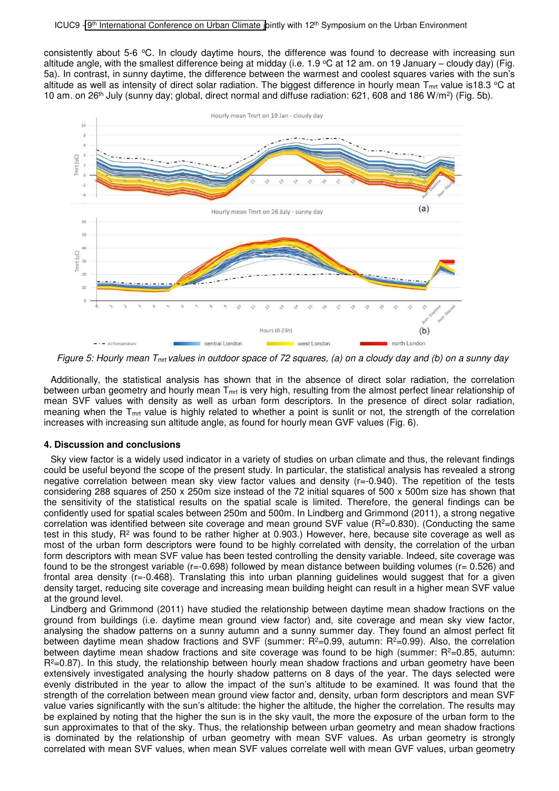consistently about 5-6 °C. In cloudy daytime hours, the difference was found to decrease with increasing sun altitude angle, with the smallest difference being at midday (i.e. 1.9  $\degree$ C at 12 am. on 19 January – cloudy day) (Fig. 5a). In contrast, in sunny daytime, the difference between the warmest and coolest squares varies with the sun's altitude as well as intensity of direct solar radiation. The biggest difference in hourly mean  $T_{mrt}$  value is18.3 °C at 10 am. on 26<sup>th</sup> July (sunny day; global, direct normal and diffuse radiation: 621, 608 and 186 W/m<sup>2</sup>) (Fig. 5b).



*Figure 5: Hourly mean Tmrt values in outdoor space of 72 squares, (a) on a cloudy day and (b) on a sunny day* 

Additionally, the statistical analysis has shown that in the absence of direct solar radiation, the correlation between urban geometry and hourly mean  $T<sub>mt</sub>$  is very high, resulting from the almost perfect linear relationship of mean SVF values with density as well as urban form descriptors. In the presence of direct solar radiation, meaning when the  $T<sub>mt</sub>$  value is highly related to whether a point is sunlit or not, the strength of the correlation increases with increasing sun altitude angle, as found for hourly mean GVF values (Fig. 6).

#### **4. Discussion and conclusions**

Sky view factor is a widely used indicator in a variety of studies on urban climate and thus, the relevant findings could be useful beyond the scope of the present study. In particular, the statistical analysis has revealed a strong negative correlation between mean sky view factor values and density (r=-0.940). The repetition of the tests considering 288 squares of 250 x 250m size instead of the 72 initial squares of 500 x 500m size has shown that the sensitivity of the statistical results on the spatial scale is limited. Therefore, the general findings can be confidently used for spatial scales between 250m and 500m. In Lindberg and Grimmond (2011), a strong negative correlation was identified between site coverage and mean ground SVF value ( $R<sup>2</sup>=0.830$ ). (Conducting the same test in this study, R<sup>2</sup> was found to be rather higher at 0.903.) However, here, because site coverage as well as most of the urban form descriptors were found to be highly correlated with density, the correlation of the urban form descriptors with mean SVF value has been tested controlling the density variable. Indeed, site coverage was found to be the strongest variable (r=-0.698) followed by mean distance between building volumes (r= 0.526) and frontal area density (r=-0.468). Translating this into urban planning quidelines would suggest that for a given density target, reducing site coverage and increasing mean building height can result in a higher mean SVF value at the ground level.

Lindberg and Grimmond (2011) have studied the relationship between daytime mean shadow fractions on the ground from buildings (i.e. daytime mean ground view factor) and, site coverage and mean sky view factor, analysing the shadow patterns on a sunny autumn and a sunny summer day. They found an almost perfect fit between daytime mean shadow fractions and SVF (summer:  $R^2=0.99$ , autumn:  $R^2=0.99$ ). Also, the correlation between daytime mean shadow fractions and site coverage was found to be high (summer:  $R<sup>2</sup>=0.85$ , autumn:  $R^2=0.87$ ). In this study, the relationship between hourly mean shadow fractions and urban geometry have been extensively investigated analysing the hourly shadow patterns on 8 days of the year. The days selected were evenly distributed in the year to allow the impact of the sun's altitude to be examined. It was found that the strength of the correlation between mean ground view factor and, density, urban form descriptors and mean SVF value varies significantly with the sun's altitude: the higher the altitude, the higher the correlation. The results may be explained by noting that the higher the sun is in the sky vault, the more the exposure of the urban form to the sun approximates to that of the sky. Thus, the relationship between urban geometry and mean shadow fractions is dominated by the relationship of urban geometry with mean SVF values. As urban geometry is strongly correlated with mean SVF values, when mean SVF values correlate well with mean GVF values, urban geometry